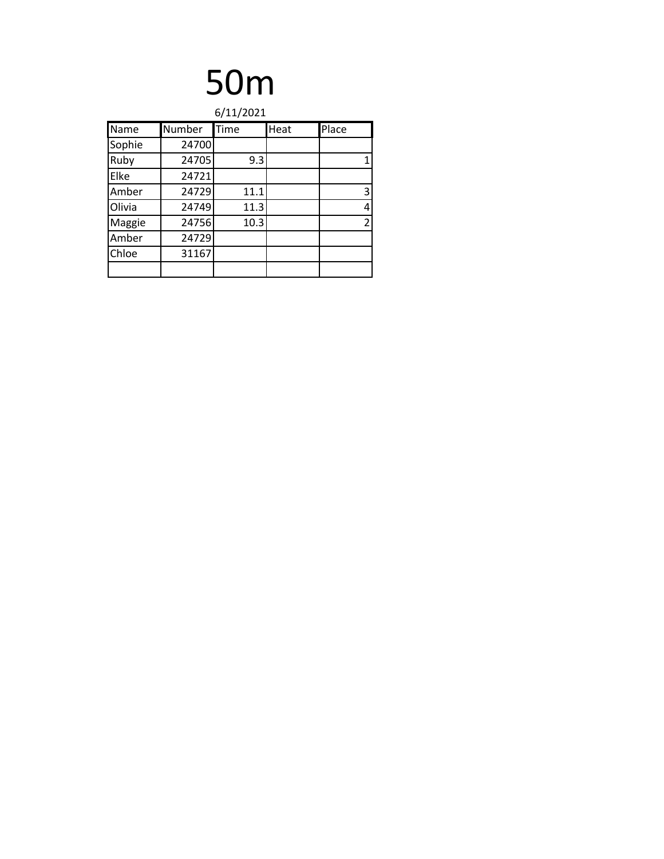| 6/11/2021 |        |      |      |                |
|-----------|--------|------|------|----------------|
| Name      | Number | Time | Heat | Place          |
| Sophie    | 24700  |      |      |                |
| Ruby      | 24705  | 9.3  |      | 1              |
| Elke      | 24721  |      |      |                |
| Amber     | 24729  | 11.1 |      | 3              |
| Olivia    | 24749  | 11.3 |      | 4              |
| Maggie    | 24756  | 10.3 |      | $\overline{2}$ |
| Amber     | 24729  |      |      |                |
| Chloe     | 31167  |      |      |                |
|           |        |      |      |                |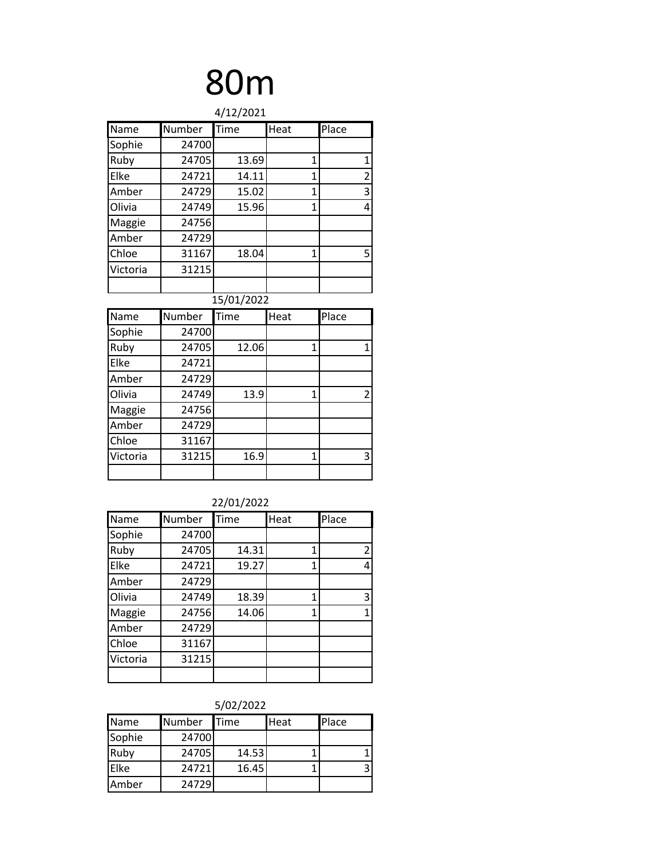| 4/12/2021 |        |            |                |                         |  |
|-----------|--------|------------|----------------|-------------------------|--|
| Name      | Number | Time       | Heat           | Place                   |  |
| Sophie    | 24700  |            |                |                         |  |
| Ruby      | 24705  | 13.69      | 1              | 1                       |  |
| Elke      | 24721  | 14.11      | $\overline{1}$ | $\overline{2}$          |  |
| Amber     | 24729  | 15.02      | $\overline{1}$ | $\overline{\mathbf{3}}$ |  |
| Olivia    | 24749  | 15.96      | 1              | 4                       |  |
| Maggie    | 24756  |            |                |                         |  |
| Amber     | 24729  |            |                |                         |  |
| Chloe     | 31167  | 18.04      | 1              | 5                       |  |
| Victoria  | 31215  |            |                |                         |  |
|           |        |            |                |                         |  |
|           |        | 15/01/2022 |                |                         |  |
| Name      | Number | Time       | Heat           | Place                   |  |
| Sophie    | 24700  |            |                |                         |  |
| Ruby      | 24705  | 12.06      | 1              | $\overline{1}$          |  |
| Elke      | 24721  |            |                |                         |  |
| Amber     | 24729  |            |                |                         |  |
| Olivia    | 24749  | 13.9       | 1              | $\overline{2}$          |  |
| Maggie    | 24756  |            |                |                         |  |
| Amber     | 24729  |            |                |                         |  |
|           |        |            |                |                         |  |
| Chloe     | 31167  |            |                |                         |  |
| Victoria  | 31215  | 16.9       | $\mathbf{1}$   | 3                       |  |

#### 22/01/2022

| Name     | Number | Time  | Heat | Place          |
|----------|--------|-------|------|----------------|
| Sophie   | 24700  |       |      |                |
| Ruby     | 24705  | 14.31 | 1    | $\overline{2}$ |
| Elke     | 24721  | 19.27 | 1    | 4              |
| Amber    | 24729  |       |      |                |
| Olivia   | 24749  | 18.39 | 1    | 3              |
| Maggie   | 24756  | 14.06 | 1    |                |
| Amber    | 24729  |       |      |                |
| Chloe    | 31167  |       |      |                |
| Victoria | 31215  |       |      |                |
|          |        |       |      |                |

| <b>JULIZULL</b> |               |             |      |       |  |
|-----------------|---------------|-------------|------|-------|--|
| Name            | <b>Number</b> | <b>Time</b> | Heat | Place |  |
| Sophie          | 24700         |             |      |       |  |
| Ruby            | 24705         | 14.53       |      |       |  |
| Elke            | 24721         | 16.45       |      | ੨     |  |
| Amber           | 24729         |             |      |       |  |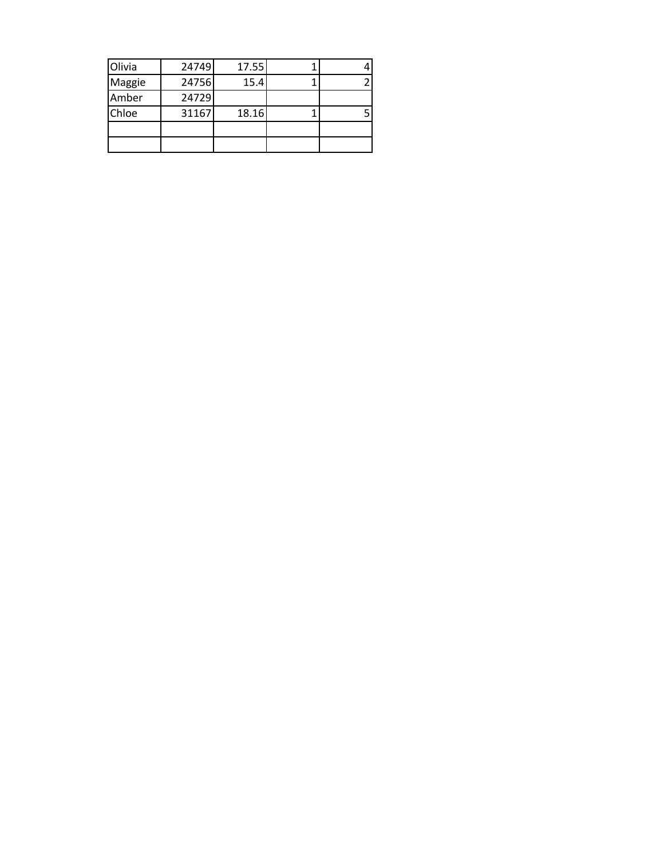| Olivia | 24749 | 17.55 |  |
|--------|-------|-------|--|
| Maggie | 24756 | 15.4  |  |
| Amber  | 24729 |       |  |
| Chloe  | 31167 | 18.16 |  |
|        |       |       |  |
|        |       |       |  |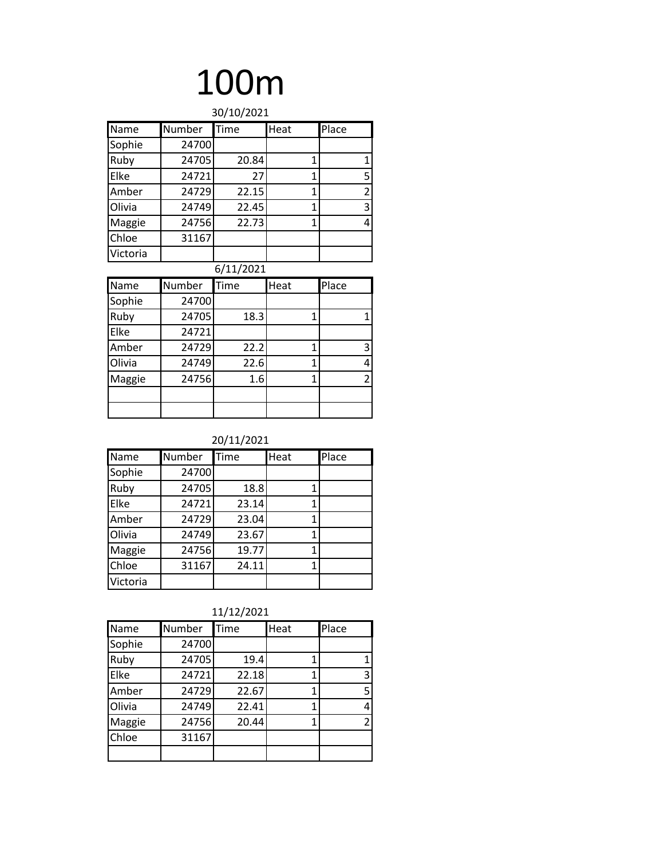| 30/10/2021 |        |       |      |       |
|------------|--------|-------|------|-------|
| Name       | Number | Time  | Heat | Place |
| Sophie     | 24700  |       |      |       |
| Ruby       | 24705  | 20.84 | 1    | 1     |
| Elke       | 24721  | 27    | 1    | 5     |
| Amber      | 24729  | 22.15 | 1    | 2     |
| Olivia     | 24749  | 22.45 | 1    | 3     |
| Maggie     | 24756  | 22.73 |      | 4     |
| Chloe      | 31167  |       |      |       |
| Victoria   |        |       |      |       |

#### 6/11/2021

| Name   | Number | Time | Heat | Place          |
|--------|--------|------|------|----------------|
| Sophie | 24700  |      |      |                |
| Ruby   | 24705  | 18.3 |      |                |
| Elke   | 24721  |      |      |                |
| Amber  | 24729  | 22.2 |      | 3              |
| Olivia | 24749  | 22.6 |      | 4              |
| Maggie | 24756  | 1.6  |      | $\overline{2}$ |
|        |        |      |      |                |
|        |        |      |      |                |

#### 20/11/2021

| Name     | Number | Time  | Heat | Place |
|----------|--------|-------|------|-------|
| Sophie   | 24700  |       |      |       |
| Ruby     | 24705  | 18.8  | 1    |       |
| Elke     | 24721  | 23.14 | 1    |       |
| Amber    | 24729  | 23.04 | 1    |       |
| Olivia   | 24749  | 23.67 | 1    |       |
| Maggie   | 24756  | 19.77 | 1    |       |
| Chloe    | 31167  | 24.11 | 1    |       |
| Victoria |        |       |      |       |

11/12/2021

| Name   | Number | Time  | Heat | Place |
|--------|--------|-------|------|-------|
| Sophie | 24700  |       |      |       |
| Ruby   | 24705  | 19.4  | 1    |       |
| Elke   | 24721  | 22.18 | 1    | 3     |
| Amber  | 24729  | 22.67 |      | 5     |
| Olivia | 24749  | 22.41 | 1    |       |
| Maggie | 24756  | 20.44 | 1    |       |
| Chloe  | 31167  |       |      |       |
|        |        |       |      |       |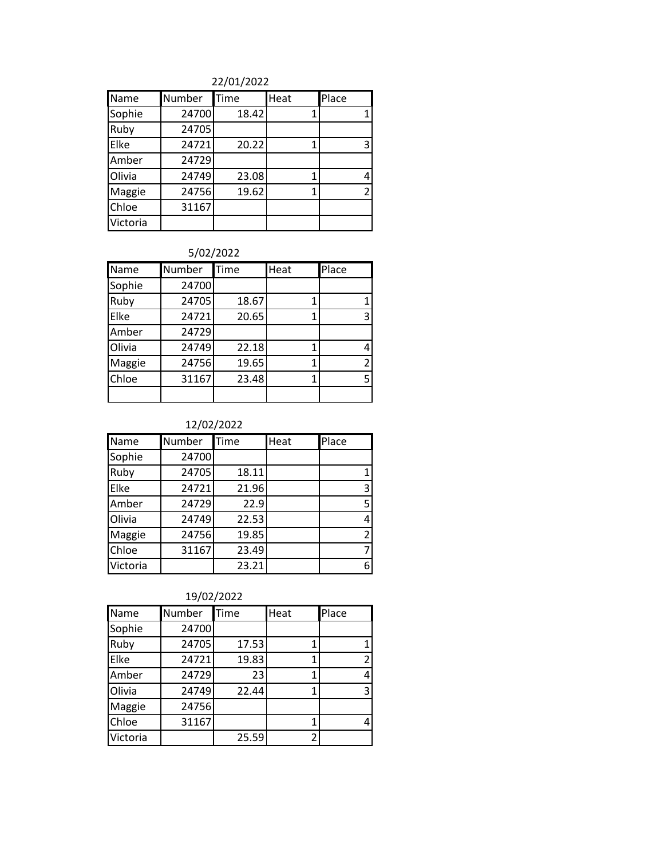#### 22/01/2022

| Name     | Number | Time  | Heat | Place          |
|----------|--------|-------|------|----------------|
| Sophie   | 24700  | 18.42 |      |                |
| Ruby     | 24705  |       |      |                |
| Elke     | 24721  | 20.22 |      | 3              |
| Amber    | 24729  |       |      |                |
| Olivia   | 24749  | 23.08 |      | 4              |
| Maggie   | 24756  | 19.62 |      | $\overline{2}$ |
| Chloe    | 31167  |       |      |                |
| Victoria |        |       |      |                |

#### 5/02/2022

| Name   | Number | Time  | Heat | Place |
|--------|--------|-------|------|-------|
| Sophie | 24700  |       |      |       |
| Ruby   | 24705  | 18.67 | 1    |       |
| Elke   | 24721  | 20.65 | 1    | 3     |
| Amber  | 24729  |       |      |       |
| Olivia | 24749  | 22.18 | 1    |       |
| Maggie | 24756  | 19.65 | 1    | 2     |
| Chloe  | 31167  | 23.48 | 1    | 5     |
|        |        |       |      |       |

#### 12/02/2022

| Name     | Number | Time  | Heat | Place |
|----------|--------|-------|------|-------|
| Sophie   | 24700  |       |      |       |
| Ruby     | 24705  | 18.11 |      |       |
| Elke     | 24721  | 21.96 |      | 3     |
| Amber    | 24729  | 22.9  |      | 5     |
| Olivia   | 24749  | 22.53 |      | 4     |
| Maggie   | 24756  | 19.85 |      | 2     |
| Chloe    | 31167  | 23.49 |      | 7     |
| Victoria |        | 23.21 |      |       |

| Name     | Number | Time  | Heat | Place          |
|----------|--------|-------|------|----------------|
| Sophie   | 24700  |       |      |                |
| Ruby     | 24705  | 17.53 |      |                |
| Elke     | 24721  | 19.83 |      | $\overline{2}$ |
| Amber    | 24729  | 23    |      | 4              |
| Olivia   | 24749  | 22.44 |      | 3              |
| Maggie   | 24756  |       |      |                |
| Chloe    | 31167  |       | 1    |                |
| Victoria |        | 25.59 | 2    |                |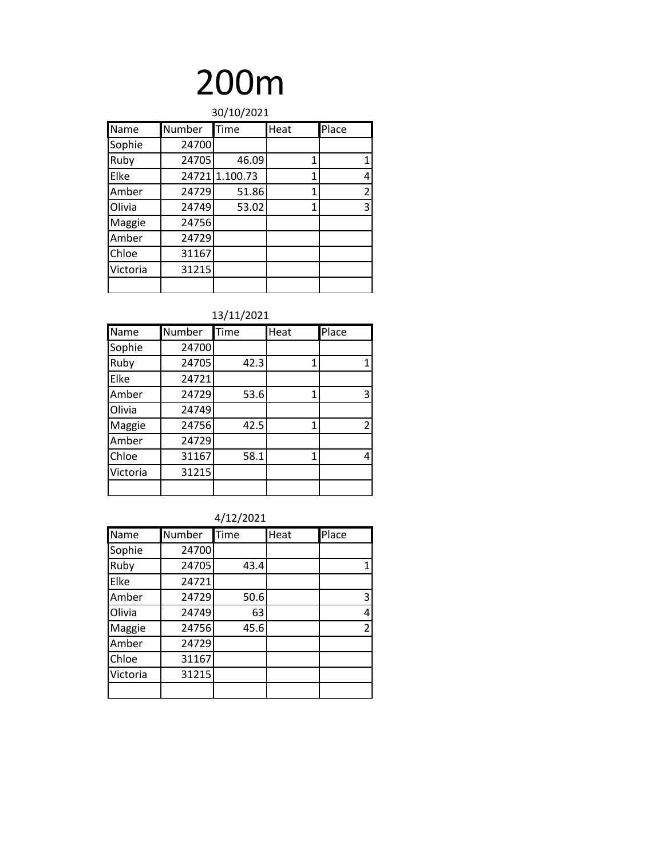| 30/10/2021 |        |                |      |                |
|------------|--------|----------------|------|----------------|
| Name       | Number | Time           | Heat | Place          |
| Sophie     | 24700  |                |      |                |
| Ruby       | 24705  | 46.09          | 1    | 1              |
| Elke       |        | 24721 1.100.73 | 1    | 4              |
| Amber      | 24729  | 51.86          | 1    | $\overline{2}$ |
| Olivia     | 24749  | 53.02          | 1    | 3              |
| Maggie     | 24756  |                |      |                |
| Amber      | 24729  |                |      |                |
| Chloe      | 31167  |                |      |                |
| Victoria   | 31215  |                |      |                |
|            |        |                |      |                |

#### 13/11/2021

| Name     | Number | Time | Heat           | Place         |
|----------|--------|------|----------------|---------------|
| Sophie   | 24700  |      |                |               |
| Ruby     | 24705  | 42.3 | $\mathbf{1}$   |               |
| Elke     | 24721  |      |                |               |
| Amber    | 24729  | 53.6 | $\overline{1}$ | 3             |
| Olivia   | 24749  |      |                |               |
| Maggie   | 24756  | 42.5 | 1              | $\mathcal{P}$ |
| Amber    | 24729  |      |                |               |
| Chloe    | 31167  | 58.1 | 1              | 4             |
| Victoria | 31215  |      |                |               |
|          |        |      |                |               |

#### 4/12/2021

| Name     | Number | Time | Heat | Place          |
|----------|--------|------|------|----------------|
| Sophie   | 24700  |      |      |                |
| Ruby     | 24705  | 43.4 |      | 1              |
| Elke     | 24721  |      |      |                |
| Amber    | 24729  | 50.6 |      | 3              |
| Olivia   | 24749  | 63   |      | 4              |
| Maggie   | 24756  | 45.6 |      | $\overline{2}$ |
| Amber    | 24729  |      |      |                |
| Chloe    | 31167  |      |      |                |
| Victoria | 31215  |      |      |                |
|          |        |      |      |                |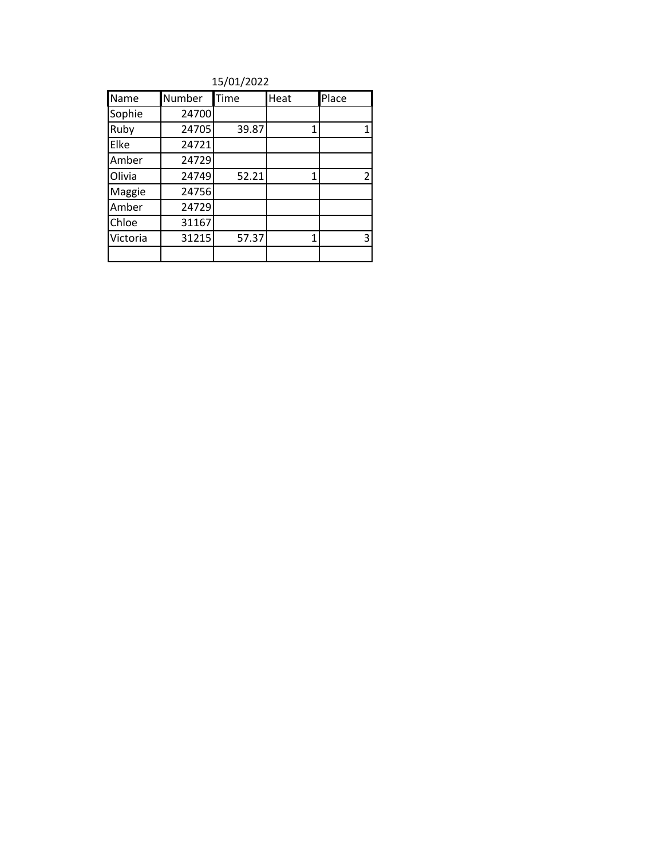15/01/2022

| Name     | Number | Time  | Heat | Place          |
|----------|--------|-------|------|----------------|
| Sophie   | 24700  |       |      |                |
| Ruby     | 24705  | 39.87 | 1    | 1              |
| Elke     | 24721  |       |      |                |
| Amber    | 24729  |       |      |                |
| Olivia   | 24749  | 52.21 | 1    | $\overline{2}$ |
| Maggie   | 24756  |       |      |                |
| Amber    | 24729  |       |      |                |
| Chloe    | 31167  |       |      |                |
| Victoria | 31215  | 57.37 | 1    | 3              |
|          |        |       |      |                |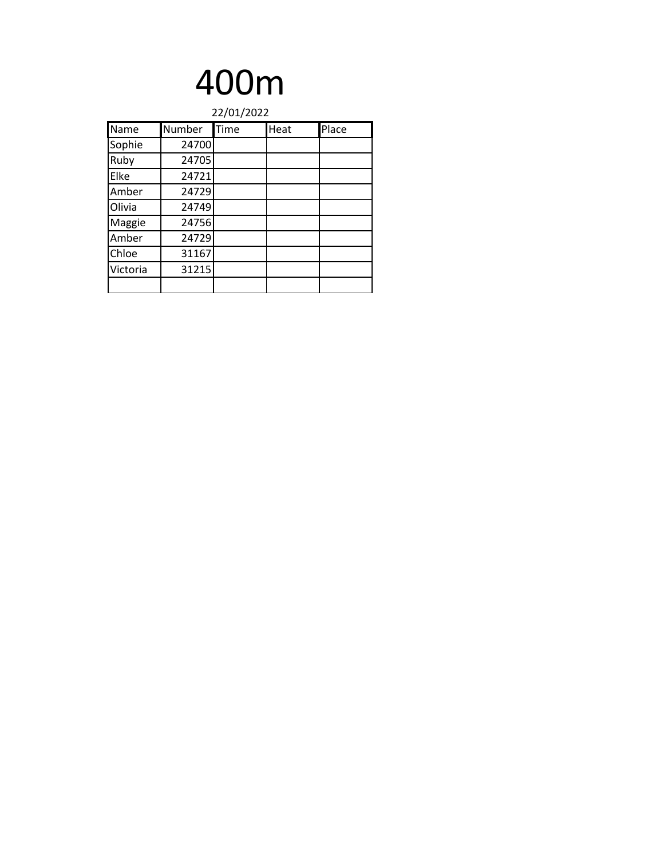| 22/01/2022 |        |      |      |       |
|------------|--------|------|------|-------|
| Name       | Number | Time | Heat | Place |
| Sophie     | 24700  |      |      |       |
| Ruby       | 24705  |      |      |       |
| Elke       | 24721  |      |      |       |
| Amber      | 24729  |      |      |       |
| Olivia     | 24749  |      |      |       |
| Maggie     | 24756  |      |      |       |
| Amber      | 24729  |      |      |       |
| Chloe      | 31167  |      |      |       |
| Victoria   | 31215  |      |      |       |
|            |        |      |      |       |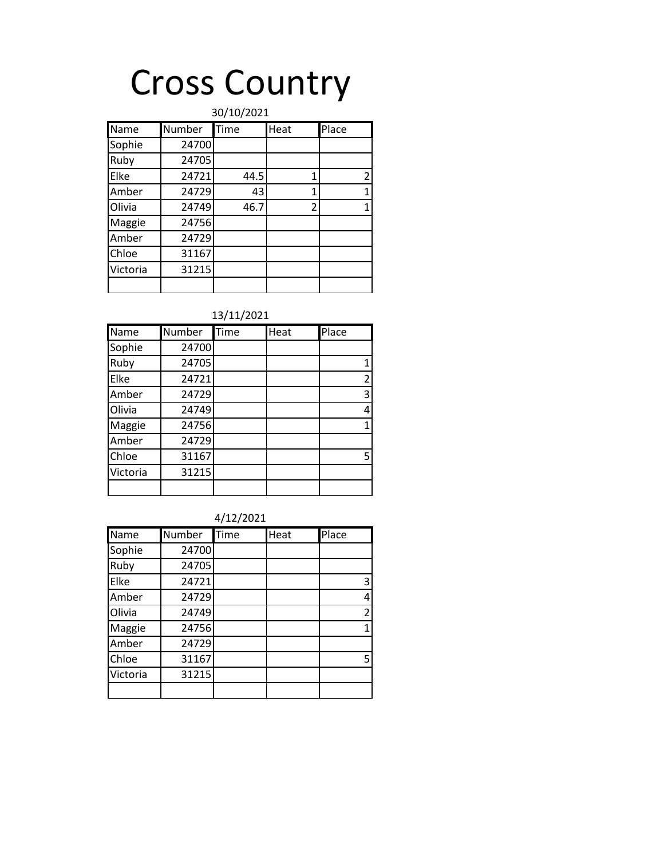# Cross Country

| 30/10/2021 |        |      |                |              |
|------------|--------|------|----------------|--------------|
| Name       | Number | Time | Heat           | Place        |
| Sophie     | 24700  |      |                |              |
| Ruby       | 24705  |      |                |              |
| Elke       | 24721  | 44.5 | 1              | 2            |
| Amber      | 24729  | 43   | 1              | $\mathbf{1}$ |
| Olivia     | 24749  | 46.7 | $\overline{2}$ | 1            |
| Maggie     | 24756  |      |                |              |
| Amber      | 24729  |      |                |              |
| Chloe      | 31167  |      |                |              |
| Victoria   | 31215  |      |                |              |
|            |        |      |                |              |

#### 13/11/2021

| Name     | Number | Time | Heat | Place          |
|----------|--------|------|------|----------------|
| Sophie   | 24700  |      |      |                |
| Ruby     | 24705  |      |      | 1              |
| Elke     | 24721  |      |      | $\overline{2}$ |
| Amber    | 24729  |      |      | 3              |
| Olivia   | 24749  |      |      | 4              |
| Maggie   | 24756  |      |      | 1              |
| Amber    | 24729  |      |      |                |
| Chloe    | 31167  |      |      | 5              |
| Victoria | 31215  |      |      |                |
|          |        |      |      |                |

#### 4/12/2021

| Name     | Number | Time | Heat | Place          |
|----------|--------|------|------|----------------|
| Sophie   | 24700  |      |      |                |
| Ruby     | 24705  |      |      |                |
| Elke     | 24721  |      |      | 3              |
| Amber    | 24729  |      |      | 4              |
| Olivia   | 24749  |      |      | $\overline{2}$ |
| Maggie   | 24756  |      |      | 1              |
| Amber    | 24729  |      |      |                |
| Chloe    | 31167  |      |      | 5              |
| Victoria | 31215  |      |      |                |
|          |        |      |      |                |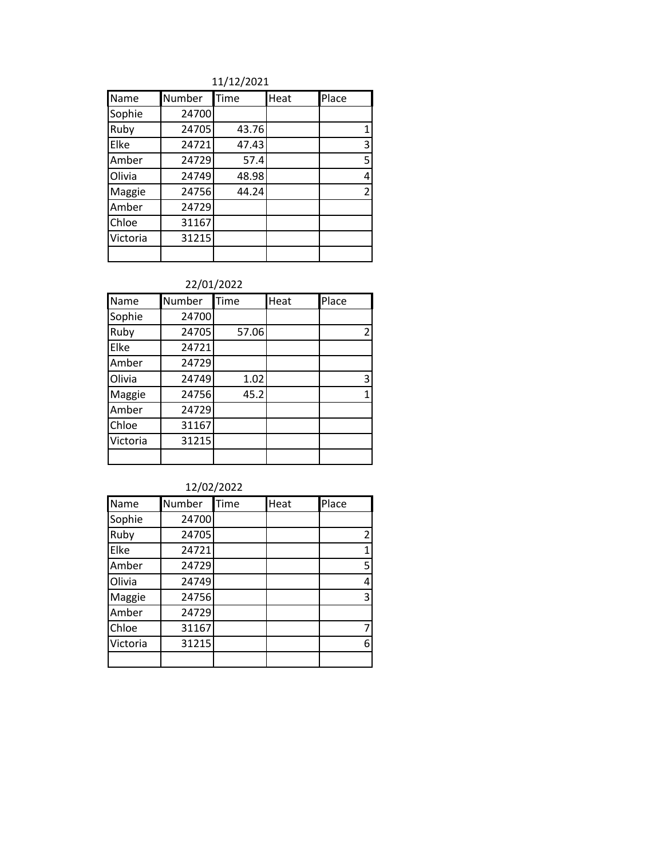#### 11/12/2021

| Name     | Number | Time  | Heat | Place          |
|----------|--------|-------|------|----------------|
| Sophie   | 24700  |       |      |                |
| Ruby     | 24705  | 43.76 |      | 1              |
| Elke     | 24721  | 47.43 |      | 3              |
| Amber    | 24729  | 57.4  |      | 5              |
| Olivia   | 24749  | 48.98 |      | 4              |
| Maggie   | 24756  | 44.24 |      | $\overline{2}$ |
| Amber    | 24729  |       |      |                |
| Chloe    | 31167  |       |      |                |
| Victoria | 31215  |       |      |                |
|          |        |       |      |                |

#### 22/01/2022

| Name     | Number | Time  | Heat | Place |
|----------|--------|-------|------|-------|
| Sophie   | 24700  |       |      |       |
| Ruby     | 24705  | 57.06 |      | 2     |
| Elke     | 24721  |       |      |       |
| Amber    | 24729  |       |      |       |
| Olivia   | 24749  | 1.02  |      | 3     |
| Maggie   | 24756  | 45.2  |      |       |
| Amber    | 24729  |       |      |       |
| Chloe    | 31167  |       |      |       |
| Victoria | 31215  |       |      |       |
|          |        |       |      |       |

| Name     | Number | Time | Heat | Place |
|----------|--------|------|------|-------|
| Sophie   | 24700  |      |      |       |
| Ruby     | 24705  |      |      | 2     |
| Elke     | 24721  |      |      | 1     |
| Amber    | 24729  |      |      | 5     |
| Olivia   | 24749  |      |      | 4     |
| Maggie   | 24756  |      |      | 3     |
| Amber    | 24729  |      |      |       |
| Chloe    | 31167  |      |      | 7     |
| Victoria | 31215  |      |      | 6     |
|          |        |      |      |       |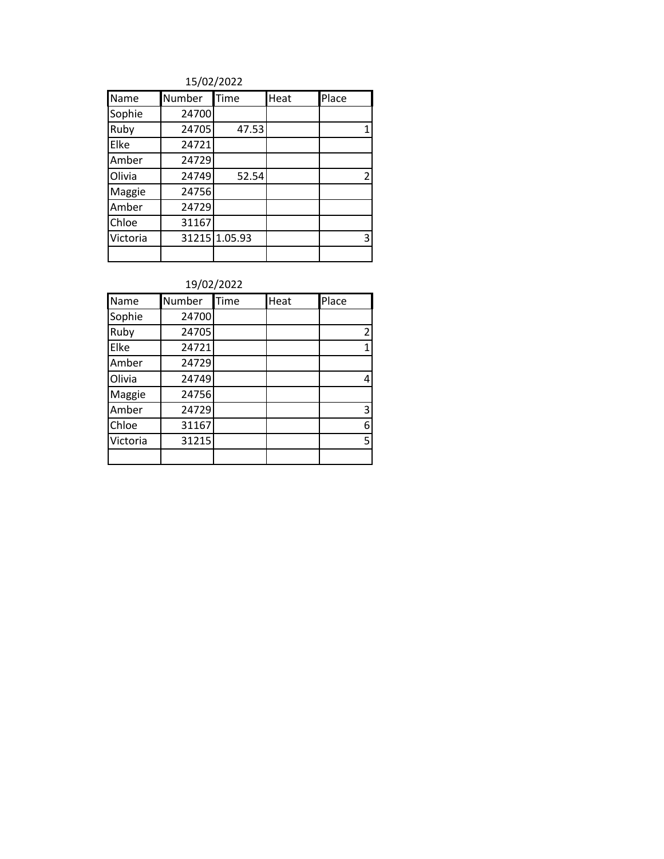| Name     | Number | Time          | Heat | Place          |
|----------|--------|---------------|------|----------------|
| Sophie   | 24700  |               |      |                |
| Ruby     | 24705  | 47.53         |      | 1              |
| Elke     | 24721  |               |      |                |
| Amber    | 24729  |               |      |                |
| Olivia   | 24749  | 52.54         |      | $\overline{2}$ |
| Maggie   | 24756  |               |      |                |
| Amber    | 24729  |               |      |                |
| Chloe    | 31167  |               |      |                |
| Victoria |        | 31215 1.05.93 |      | 3              |
|          |        |               |      |                |

| Name     | Number | Time | Heat | Place |
|----------|--------|------|------|-------|
| Sophie   | 24700  |      |      |       |
| Ruby     | 24705  |      |      | 2     |
| Elke     | 24721  |      |      | 1     |
| Amber    | 24729  |      |      |       |
| Olivia   | 24749  |      |      | 4     |
| Maggie   | 24756  |      |      |       |
| Amber    | 24729  |      |      | 3     |
| Chloe    | 31167  |      |      | 6     |
| Victoria | 31215  |      |      | 5     |
|          |        |      |      |       |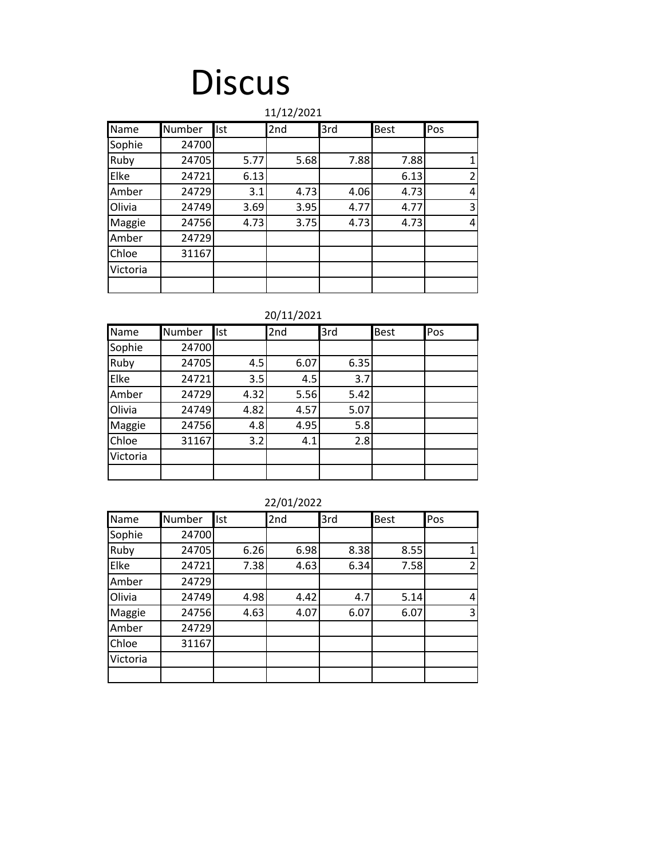### **Discus**

|          | 11/12/2021 |            |      |      |             |                |  |  |
|----------|------------|------------|------|------|-------------|----------------|--|--|
| Name     | Number     | <b>Ist</b> | 2nd  | 3rd  | <b>Best</b> | Pos            |  |  |
| Sophie   | 24700      |            |      |      |             |                |  |  |
| Ruby     | 24705      | 5.77       | 5.68 | 7.88 | 7.88        | 1              |  |  |
| Elke     | 24721      | 6.13       |      |      | 6.13        | $\overline{2}$ |  |  |
| Amber    | 24729      | 3.1        | 4.73 | 4.06 | 4.73        | 4              |  |  |
| Olivia   | 24749      | 3.69       | 3.95 | 4.77 | 4.77        | 3              |  |  |
| Maggie   | 24756      | 4.73       | 3.75 | 4.73 | 4.73        | 4              |  |  |
| Amber    | 24729      |            |      |      |             |                |  |  |
| Chloe    | 31167      |            |      |      |             |                |  |  |
| Victoria |            |            |      |      |             |                |  |  |
|          |            |            |      |      |             |                |  |  |

#### 20/11/2021

| Name     | Number | Ist  | 2nd  | 3rd  | <b>Best</b> | Pos |
|----------|--------|------|------|------|-------------|-----|
| Sophie   | 24700  |      |      |      |             |     |
| Ruby     | 24705  | 4.5  | 6.07 | 6.35 |             |     |
| Elke     | 24721  | 3.5  | 4.5  | 3.7  |             |     |
| Amber    | 24729  | 4.32 | 5.56 | 5.42 |             |     |
| Olivia   | 24749  | 4.82 | 4.57 | 5.07 |             |     |
| Maggie   | 24756  | 4.8  | 4.95 | 5.8  |             |     |
| Chloe    | 31167  | 3.2  | 4.1  | 2.8  |             |     |
| Victoria |        |      |      |      |             |     |
|          |        |      |      |      |             |     |

| Name     | Number | Ist  | 2nd  | 3rd  | Best | Pos |
|----------|--------|------|------|------|------|-----|
| Sophie   | 24700  |      |      |      |      |     |
| Ruby     | 24705  | 6.26 | 6.98 | 8.38 | 8.55 |     |
| Elke     | 24721  | 7.38 | 4.63 | 6.34 | 7.58 | 2   |
| Amber    | 24729  |      |      |      |      |     |
| Olivia   | 24749  | 4.98 | 4.42 | 4.7  | 5.14 | 4   |
| Maggie   | 24756  | 4.63 | 4.07 | 6.07 | 6.07 | 3   |
| Amber    | 24729  |      |      |      |      |     |
| Chloe    | 31167  |      |      |      |      |     |
| Victoria |        |      |      |      |      |     |
|          |        |      |      |      |      |     |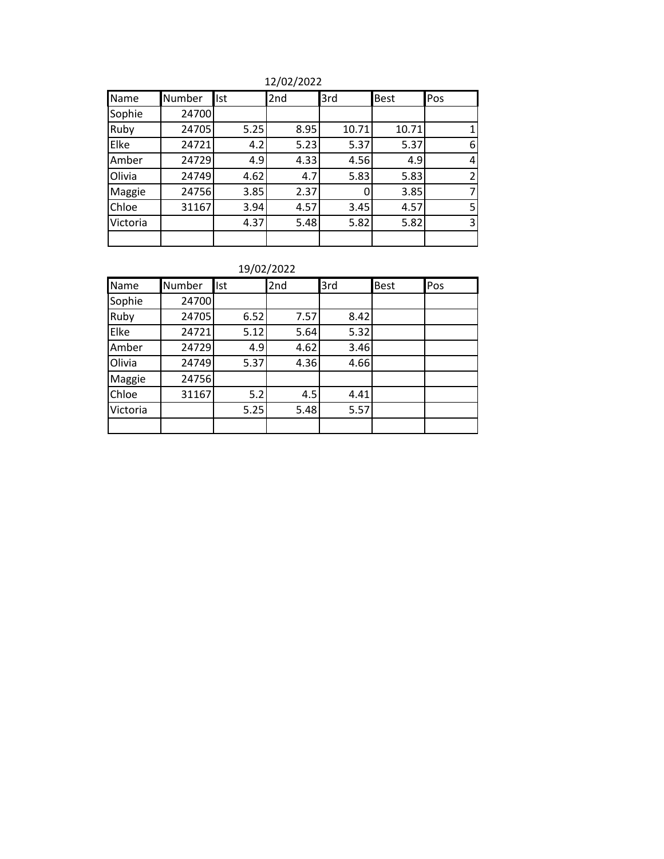12/02/2022

| Name     | <b>Number</b> | Ist  | 2nd  | 3rd   | <b>Best</b> | Pos            |
|----------|---------------|------|------|-------|-------------|----------------|
| Sophie   | 24700         |      |      |       |             |                |
| Ruby     | 24705         | 5.25 | 8.95 | 10.71 | 10.71       |                |
| Elke     | 24721         | 4.2  | 5.23 | 5.37  | 5.37        | 6              |
| Amber    | 24729         | 4.9  | 4.33 | 4.56  | 4.9         | 4              |
| Olivia   | 24749         | 4.62 | 4.7  | 5.83  | 5.83        | $\overline{2}$ |
| Maggie   | 24756         | 3.85 | 2.37 | 0     | 3.85        | 7              |
| Chloe    | 31167         | 3.94 | 4.57 | 3.45  | 4.57        | 5              |
| Victoria |               | 4.37 | 5.48 | 5.82  | 5.82        | 3              |
|          |               |      |      |       |             |                |

| Name     | Number | <b>Ist</b> | 2nd  | 3rd  | <b>Best</b> | Pos |
|----------|--------|------------|------|------|-------------|-----|
| Sophie   | 24700  |            |      |      |             |     |
| Ruby     | 24705  | 6.52       | 7.57 | 8.42 |             |     |
| Elke     | 24721  | 5.12       | 5.64 | 5.32 |             |     |
| Amber    | 24729  | 4.9        | 4.62 | 3.46 |             |     |
| Olivia   | 24749  | 5.37       | 4.36 | 4.66 |             |     |
| Maggie   | 24756  |            |      |      |             |     |
| Chloe    | 31167  | 5.2        | 4.5  | 4.41 |             |     |
| Victoria |        | 5.25       | 5.48 | 5.57 |             |     |
|          |        |            |      |      |             |     |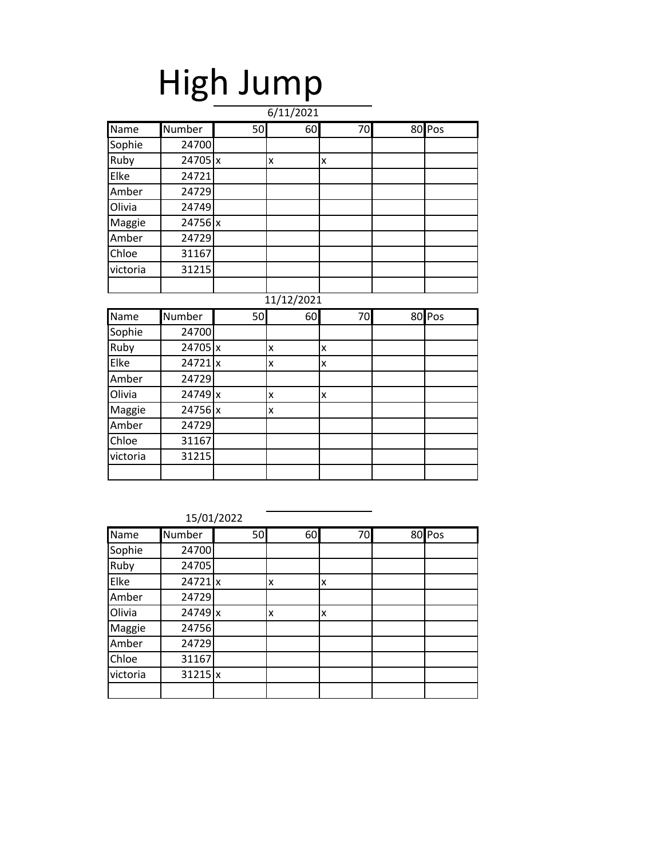# High Jump

|          |         |    | 6/11/2021  |    |          |
|----------|---------|----|------------|----|----------|
| Name     | Number  | 50 | 60         | 70 | 80 Pos   |
| Sophie   | 24700   |    |            |    |          |
| Ruby     | 24705 x |    | X          | X  |          |
| Elke     | 24721   |    |            |    |          |
| Amber    | 24729   |    |            |    |          |
| Olivia   | 24749   |    |            |    |          |
| Maggie   | 24756 x |    |            |    |          |
| Amber    | 24729   |    |            |    |          |
| Chloe    | 31167   |    |            |    |          |
| victoria | 31215   |    |            |    |          |
|          |         |    |            |    |          |
|          |         |    | 11/12/2021 |    |          |
|          |         |    |            |    |          |
| Name     | Number  | 50 | 60         | 70 | $80$ Pos |
| Sophie   | 24700   |    |            |    |          |
| Ruby     | 24705 x |    | X          | X  |          |
| Elke     | 24721 x |    | X          | X  |          |
| Amber    | 24729   |    |            |    |          |
| Olivia   | 24749 x |    | X          | X  |          |
| Maggie   | 24756 x |    | X          |    |          |
| Amber    | 24729   |    |            |    |          |
| Chloe    | 31167   |    |            |    |          |
| victoria | 31215   |    |            |    |          |

| Name     | Number    | 50 | 60 | 70 | 80 Pos |
|----------|-----------|----|----|----|--------|
| Sophie   | 24700     |    |    |    |        |
| Ruby     | 24705     |    |    |    |        |
| Elke     | $24721$ x |    | X  | X  |        |
| Amber    | 24729     |    |    |    |        |
| Olivia   | $24749$ x |    | X  | X  |        |
| Maggie   | 24756     |    |    |    |        |
| Amber    | 24729     |    |    |    |        |
| Chloe    | 31167     |    |    |    |        |
| victoria | $31215$ x |    |    |    |        |
|          |           |    |    |    |        |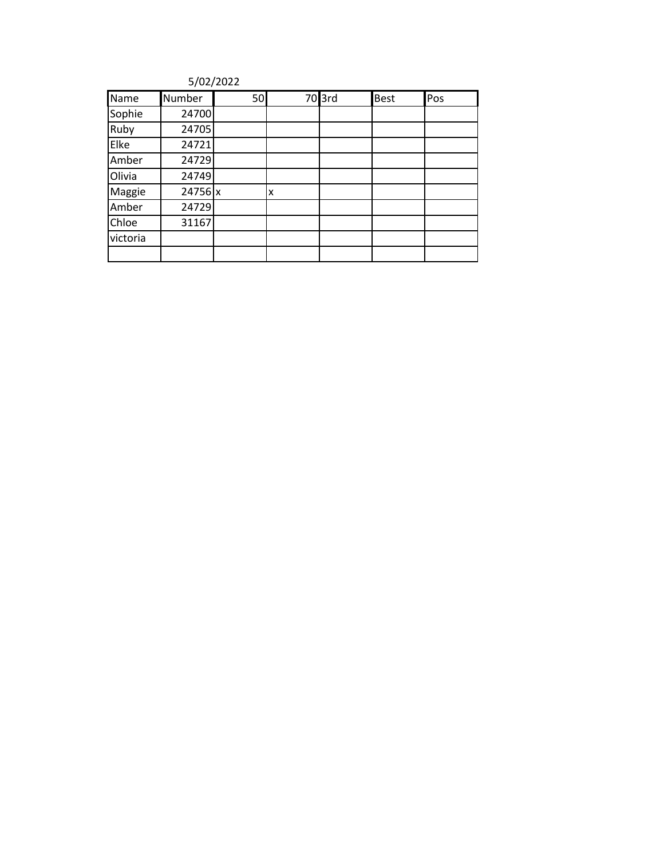| Name     | Number  | 50 |   | $70$ 3rd | <b>Best</b> | Pos |
|----------|---------|----|---|----------|-------------|-----|
| Sophie   | 24700   |    |   |          |             |     |
| Ruby     | 24705   |    |   |          |             |     |
| Elke     | 24721   |    |   |          |             |     |
| Amber    | 24729   |    |   |          |             |     |
| Olivia   | 24749   |    |   |          |             |     |
| Maggie   | 24756 x |    | X |          |             |     |
| Amber    | 24729   |    |   |          |             |     |
| Chloe    | 31167   |    |   |          |             |     |
| victoria |         |    |   |          |             |     |
|          |         |    |   |          |             |     |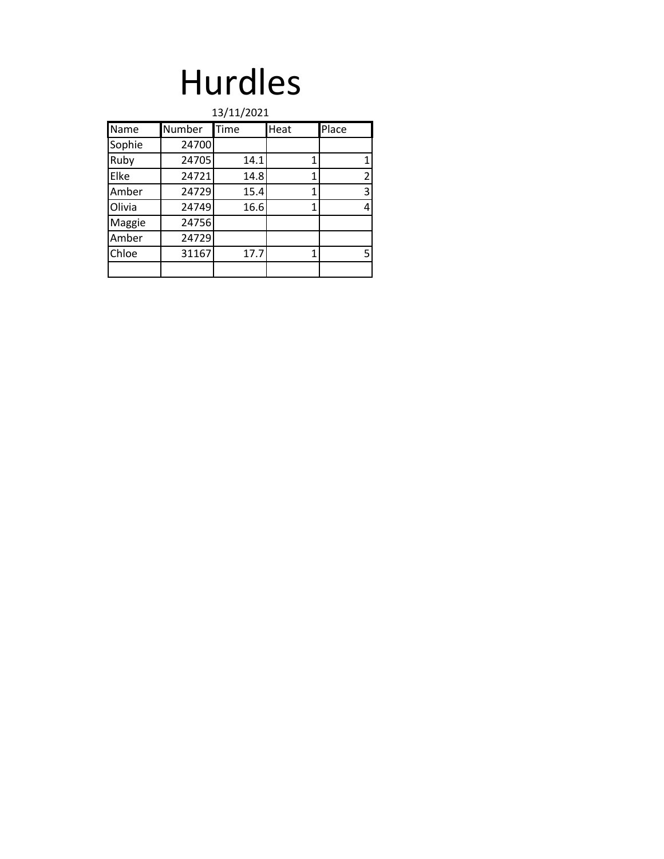### Hurdles

| 13/11/2021 |        |      |      |       |  |  |  |
|------------|--------|------|------|-------|--|--|--|
| Name       | Number | Time | Heat | Place |  |  |  |
| Sophie     | 24700  |      |      |       |  |  |  |
| Ruby       | 24705  | 14.1 |      | 1     |  |  |  |
| Elke       | 24721  | 14.8 | 1    | 2     |  |  |  |
| Amber      | 24729  | 15.4 | 1    | 3     |  |  |  |
| Olivia     | 24749  | 16.6 | 1    | 4     |  |  |  |
| Maggie     | 24756  |      |      |       |  |  |  |
| Amber      | 24729  |      |      |       |  |  |  |
| Chloe      | 31167  | 17.7 | 1    | 5     |  |  |  |
|            |        |      |      |       |  |  |  |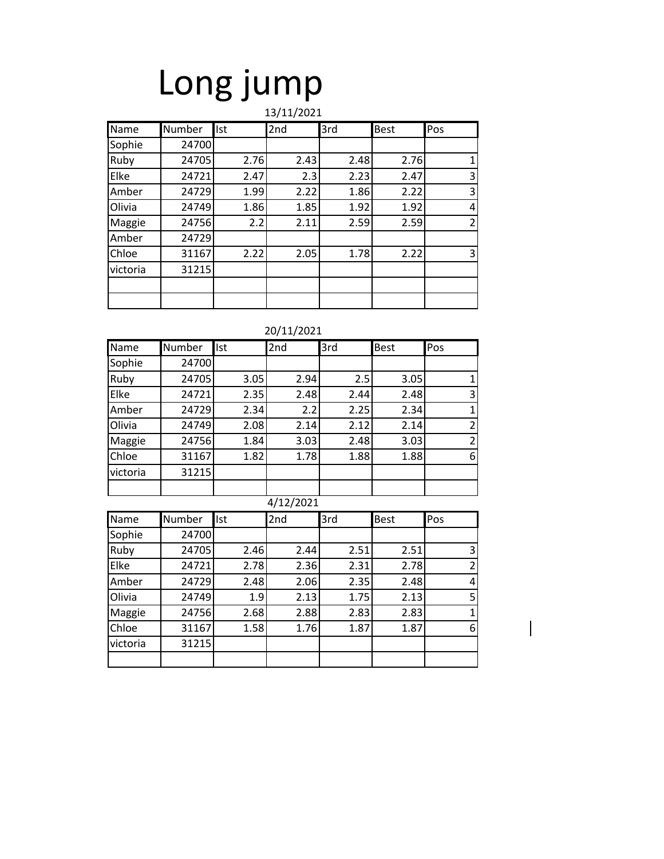### Long jump  $1/2021$

|          | 13/11/2021 |      |      |      |             |                |  |
|----------|------------|------|------|------|-------------|----------------|--|
| Name     | Number     | Ist  | 2nd  | 3rd  | <b>Best</b> | Pos            |  |
| Sophie   | 24700      |      |      |      |             |                |  |
| Ruby     | 24705      | 2.76 | 2.43 | 2.48 | 2.76        | 1              |  |
| Elke     | 24721      | 2.47 | 2.3  | 2.23 | 2.47        | 3              |  |
| Amber    | 24729      | 1.99 | 2.22 | 1.86 | 2.22        | 3              |  |
| Olivia   | 24749      | 1.86 | 1.85 | 1.92 | 1.92        | 4              |  |
| Maggie   | 24756      | 2.2  | 2.11 | 2.59 | 2.59        | $\overline{2}$ |  |
| Amber    | 24729      |      |      |      |             |                |  |
| Chloe    | 31167      | 2.22 | 2.05 | 1.78 | 2.22        | 3              |  |
| victoria | 31215      |      |      |      |             |                |  |
|          |            |      |      |      |             |                |  |
|          |            |      |      |      |             |                |  |

| 20/11/2021 |
|------------|
|------------|

| Name     | Number | Ist  | 2nd       | 3rd  | <b>Best</b> | Pos            |
|----------|--------|------|-----------|------|-------------|----------------|
| Sophie   | 24700  |      |           |      |             |                |
| Ruby     | 24705  | 3.05 | 2.94      | 2.5  | 3.05        | 1              |
| Elke     | 24721  | 2.35 | 2.48      | 2.44 | 2.48        | 3              |
| Amber    | 24729  | 2.34 | 2.2       | 2.25 | 2.34        | 1              |
| Olivia   | 24749  | 2.08 | 2.14      | 2.12 | 2.14        | $\overline{2}$ |
| Maggie   | 24756  | 1.84 | 3.03      | 2.48 | 3.03        | $\overline{2}$ |
| Chloe    | 31167  | 1.82 | 1.78      | 1.88 | 1.88        | 6              |
| victoria | 31215  |      |           |      |             |                |
|          |        |      |           |      |             |                |
|          |        |      | 4/12/2021 |      |             |                |
| Name     | Number | Ist  | 2nd       | 3rd  | <b>Best</b> | Pos            |
| Sophie   | 24700  |      |           |      |             |                |
| Ruby     | 24705  | 2.46 | 2.44      | 2.51 | 2.51        | 3              |
| Elke     | 24721  | 2.78 | 2.36      | 2.31 | 2.78        | $\overline{2}$ |

Amber | 24729| 2.48| 2.06| 2.35| 2.48| 4 Olivia | 24749 | 1.9 | 2.13 | 1.75 | 2.13 | 5 1 Maggie 24756 2.68 2.88 2.83 2.83 1<br>Chloe 31167 1.58 1.76 1.87 1.87 6 Chloe | 31167 | 1.58 | 1.76 | 1.87 | 1.87 | 6

victoria | 31215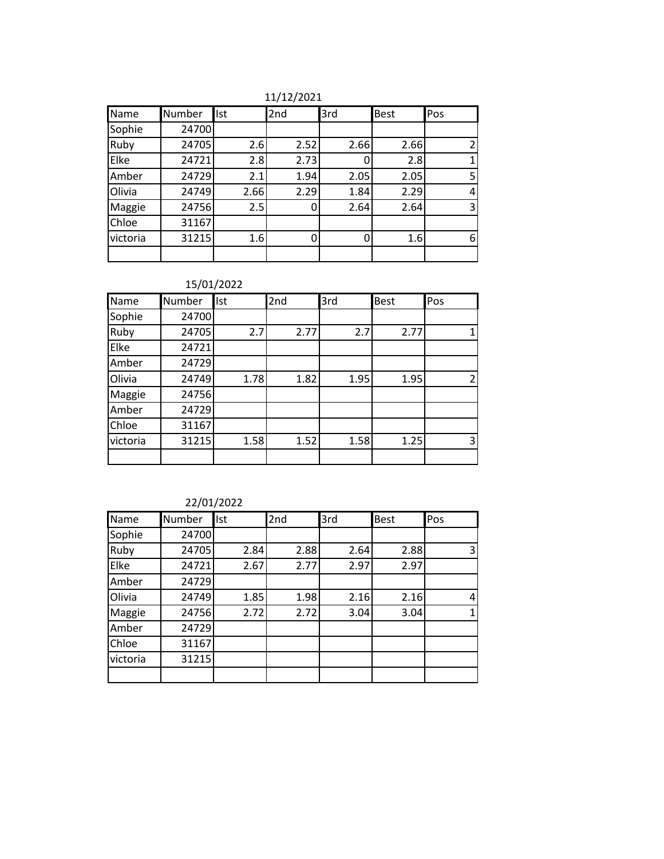11/12/2021

| Name     | Number | Ist  | 2nd  | 3rd  | <b>Best</b> | Pos           |
|----------|--------|------|------|------|-------------|---------------|
| Sophie   | 24700  |      |      |      |             |               |
| Ruby     | 24705  | 2.6  | 2.52 | 2.66 | 2.66        | $\mathcal{P}$ |
| Elke     | 24721  | 2.8  | 2.73 | 0    | 2.8         |               |
| Amber    | 24729  | 2.1  | 1.94 | 2.05 | 2.05        | 5             |
| Olivia   | 24749  | 2.66 | 2.29 | 1.84 | 2.29        | 4             |
| Maggie   | 24756  | 2.5  |      | 2.64 | 2.64        | 3             |
| Chloe    | 31167  |      |      |      |             |               |
| victoria | 31215  | 1.6  |      | 0    | 1.6         | 6             |
|          |        |      |      |      |             |               |

#### 15/01/2022

| Name     | Number | <b>Ist</b> | 2nd  | 3rd  | <b>Best</b> | Pos            |
|----------|--------|------------|------|------|-------------|----------------|
| Sophie   | 24700  |            |      |      |             |                |
| Ruby     | 24705  | 2.7        | 2.77 | 2.7  | 2.77        |                |
| Elke     | 24721  |            |      |      |             |                |
| Amber    | 24729  |            |      |      |             |                |
| Olivia   | 24749  | 1.78       | 1.82 | 1.95 | 1.95        | $\overline{2}$ |
| Maggie   | 24756  |            |      |      |             |                |
| Amber    | 24729  |            |      |      |             |                |
| Chloe    | 31167  |            |      |      |             |                |
| victoria | 31215  | 1.58       | 1.52 | 1.58 | 1.25        | 3              |
|          |        |            |      |      |             |                |

| Name     | Number | <b>Ist</b> | 2nd  | 3rd  | <b>Best</b> | Pos |
|----------|--------|------------|------|------|-------------|-----|
| Sophie   | 24700  |            |      |      |             |     |
| Ruby     | 24705  | 2.84       | 2.88 | 2.64 | 2.88        | 3   |
| Elke     | 24721  | 2.67       | 2.77 | 2.97 | 2.97        |     |
| Amber    | 24729  |            |      |      |             |     |
| Olivia   | 24749  | 1.85       | 1.98 | 2.16 | 2.16        | 4   |
| Maggie   | 24756  | 2.72       | 2.72 | 3.04 | 3.04        | 1   |
| Amber    | 24729  |            |      |      |             |     |
| Chloe    | 31167  |            |      |      |             |     |
| victoria | 31215  |            |      |      |             |     |
|          |        |            |      |      |             |     |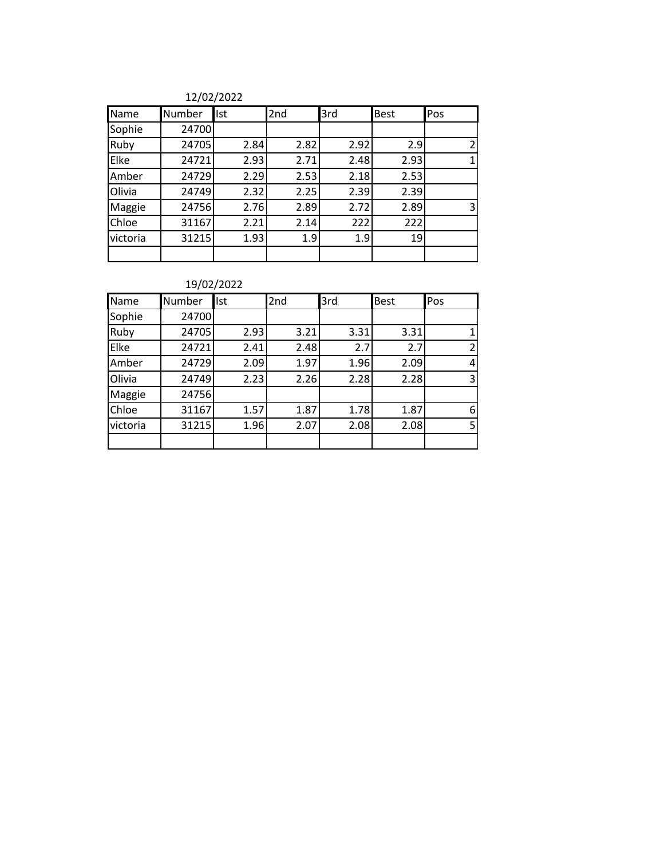| Name     | Number | <b>Ist</b> | 2nd  | 3rd  | <b>Best</b> | Pos |
|----------|--------|------------|------|------|-------------|-----|
| Sophie   | 24700  |            |      |      |             |     |
| Ruby     | 24705  | 2.84       | 2.82 | 2.92 | 2.9         | 2   |
| Elke     | 24721  | 2.93       | 2.71 | 2.48 | 2.93        | 1   |
| Amber    | 24729  | 2.29       | 2.53 | 2.18 | 2.53        |     |
| Olivia   | 24749  | 2.32       | 2.25 | 2.39 | 2.39        |     |
| Maggie   | 24756  | 2.76       | 2.89 | 2.72 | 2.89        | 3   |
| Chloe    | 31167  | 2.21       | 2.14 | 222  | 222         |     |
| victoria | 31215  | 1.93       | 1.9  | 1.9  | 19          |     |
|          |        |            |      |      |             |     |

| Name     | Number | <b>Ist</b> | 2nd  | 3rd  | <b>Best</b> | Pos            |
|----------|--------|------------|------|------|-------------|----------------|
| Sophie   | 24700  |            |      |      |             |                |
| Ruby     | 24705  | 2.93       | 3.21 | 3.31 | 3.31        |                |
| Elke     | 24721  | 2.41       | 2.48 | 2.7  | 2.7         | $\mathfrak{p}$ |
| Amber    | 24729  | 2.09       | 1.97 | 1.96 | 2.09        | 4              |
| Olivia   | 24749  | 2.23       | 2.26 | 2.28 | 2.28        | 3              |
| Maggie   | 24756  |            |      |      |             |                |
| Chloe    | 31167  | 1.57       | 1.87 | 1.78 | 1.87        | 6              |
| victoria | 31215  | 1.96       | 2.07 | 2.08 | 2.08        | 5              |
|          |        |            |      |      |             |                |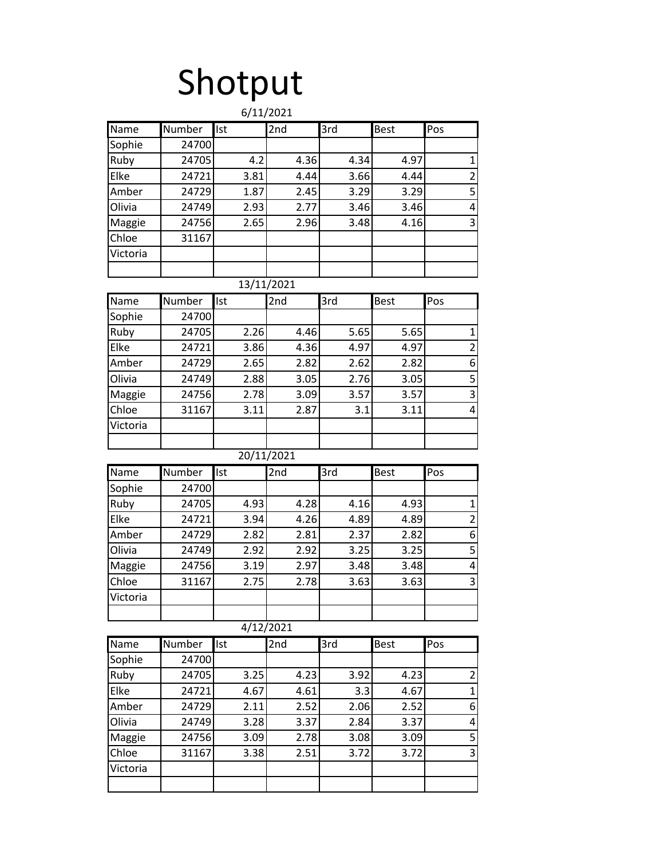# Shotput

|          |        |            | 6/11/2021  |      |             |                         |
|----------|--------|------------|------------|------|-------------|-------------------------|
| Name     | Number | Ist        | 2nd        | 3rd  | <b>Best</b> | Pos                     |
| Sophie   | 24700  |            |            |      |             |                         |
| Ruby     | 24705  | 4.2        | 4.36       | 4.34 | 4.97        | $\mathbf 1$             |
| Elke     | 24721  | 3.81       | 4.44       | 3.66 | 4.44        | $\overline{\mathbf{c}}$ |
| Amber    | 24729  | 1.87       | 2.45       | 3.29 | 3.29        | 5                       |
| Olivia   | 24749  | 2.93       | 2.77       | 3.46 | 3.46        | 4                       |
| Maggie   | 24756  | 2.65       | 2.96       | 3.48 | 4.16        | 3                       |
| Chloe    | 31167  |            |            |      |             |                         |
| Victoria |        |            |            |      |             |                         |
|          |        |            |            |      |             |                         |
|          |        |            | 13/11/2021 |      |             |                         |
| Name     | Number | Ist        | 2nd        | 3rd  | <b>Best</b> | Pos                     |
| Sophie   | 24700  |            |            |      |             |                         |
| Ruby     | 24705  | 2.26       | 4.46       | 5.65 | 5.65        | 1                       |
| Elke     | 24721  | 3.86       | 4.36       | 4.97 | 4.97        | $\overline{c}$          |
| Amber    | 24729  | 2.65       | 2.82       | 2.62 | 2.82        | 6                       |
| Olivia   | 24749  | 2.88       | 3.05       | 2.76 | 3.05        | 5                       |
| Maggie   | 24756  | 2.78       | 3.09       | 3.57 | 3.57        | 3                       |
| Chloe    | 31167  | 3.11       | 2.87       | 3.1  | 3.11        | 4                       |
| Victoria |        |            |            |      |             |                         |
|          |        |            |            |      |             |                         |
|          |        |            | 20/11/2021 |      |             |                         |
| Name     | Number | Ist        | 2nd        | 3rd  | <b>Best</b> | Pos                     |
| Sophie   | 24700  |            |            |      |             |                         |
| Ruby     | 24705  | 4.93       | 4.28       | 4.16 | 4.93        | $\mathbf 1$             |
| Elke     | 24721  | 3.94       | 4.26       | 4.89 | 4.89        | $\overline{\mathbf{c}}$ |
| Amber    | 24729  | 2.82       | 2.81       | 2.37 | 2.82        | 6                       |
| Olivia   | 24749  | 2.92       | 2.92       | 3.25 | 3.25        | 5                       |
| Maggie   | 24756  | 3.19       | 2.97       | 3.48 | 3.48        | 4                       |
| Chloe    | 31167  | 2.75       | 2.78       | 3.63 | 3.63        | 3                       |
| Victoria |        |            |            |      |             |                         |
|          |        |            |            |      |             |                         |
|          |        |            | 4/12/2021  |      |             |                         |
| Name     | Number | <b>Ist</b> | 2nd        | 3rd  | <b>Best</b> | Pos                     |
| Sophie   | 24700  |            |            |      |             |                         |
| Ruby     | 24705  | 3.25       | 4.23       | 3.92 | 4.23        | $\overline{c}$          |
| Elke     | 24721  | 4.67       | 4.61       | 3.3  | 4.67        | $\mathbf 1$             |
| Amber    | 24729  | 2.11       | 2.52       | 2.06 | 2.52        | 6                       |
| Olivia   | 24749  | 3.28       | 3.37       | 2.84 | 3.37        | 4                       |
| Maggie   | 24756  | 3.09       | 2.78       | 3.08 | 3.09        | 5                       |
| Chloe    | 31167  | 3.38       | 2.51       | 3.72 | 3.72        | 3                       |
| Victoria |        |            |            |      |             |                         |
|          |        |            |            |      |             |                         |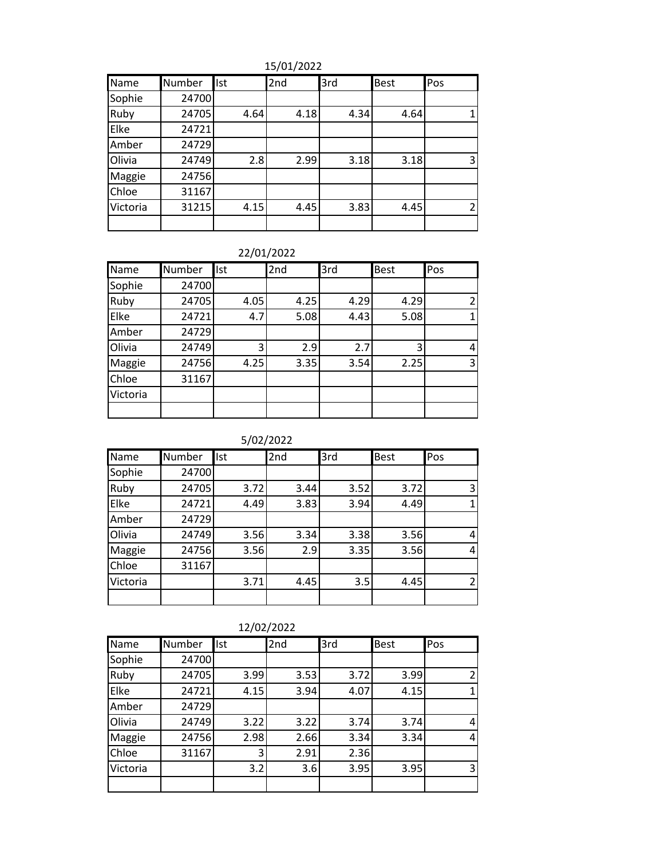15/01/2022

| Name     | Number | Ist  | 2nd  | 3rd  | Best | Pos            |
|----------|--------|------|------|------|------|----------------|
| Sophie   | 24700  |      |      |      |      |                |
| Ruby     | 24705  | 4.64 | 4.18 | 4.34 | 4.64 |                |
| Elke     | 24721  |      |      |      |      |                |
| Amber    | 24729  |      |      |      |      |                |
| Olivia   | 24749  | 2.8  | 2.99 | 3.18 | 3.18 | 3              |
| Maggie   | 24756  |      |      |      |      |                |
| Chloe    | 31167  |      |      |      |      |                |
| Victoria | 31215  | 4.15 | 4.45 | 3.83 | 4.45 | $\overline{2}$ |
|          |        |      |      |      |      |                |

| Name     | Number | <b>Ist</b> | 2nd  | 3rd  | <b>Best</b> | Pos            |
|----------|--------|------------|------|------|-------------|----------------|
| Sophie   | 24700  |            |      |      |             |                |
| Ruby     | 24705  | 4.05       | 4.25 | 4.29 | 4.29        | $\overline{2}$ |
| Elke     | 24721  | 4.7        | 5.08 | 4.43 | 5.08        |                |
| Amber    | 24729  |            |      |      |             |                |
| Olivia   | 24749  | 3          | 2.9  | 2.7  |             | 4              |
| Maggie   | 24756  | 4.25       | 3.35 | 3.54 | 2.25        | 3              |
| Chloe    | 31167  |            |      |      |             |                |
| Victoria |        |            |      |      |             |                |
|          |        |            |      |      |             |                |

5/02/2022

| Name     | Number | Ist  | 2nd  | 3rd  | <b>Best</b> | Pos            |
|----------|--------|------|------|------|-------------|----------------|
| Sophie   | 24700  |      |      |      |             |                |
| Ruby     | 24705  | 3.72 | 3.44 | 3.52 | 3.72        | 3              |
| Elke     | 24721  | 4.49 | 3.83 | 3.94 | 4.49        |                |
| Amber    | 24729  |      |      |      |             |                |
| Olivia   | 24749  | 3.56 | 3.34 | 3.38 | 3.56        | 4              |
| Maggie   | 24756  | 3.56 | 2.9  | 3.35 | 3.56        | 4              |
| Chloe    | 31167  |      |      |      |             |                |
| Victoria |        | 3.71 | 4.45 | 3.5  | 4.45        | $\mathfrak{p}$ |
|          |        |      |      |      |             |                |

| 12/02/2022 |  |
|------------|--|
|            |  |

| Name     | Number | Ist  | 2nd  | 3rd  | <b>Best</b> | Pos          |
|----------|--------|------|------|------|-------------|--------------|
| Sophie   | 24700  |      |      |      |             |              |
| Ruby     | 24705  | 3.99 | 3.53 | 3.72 | 3.99        | 2            |
| Elke     | 24721  | 4.15 | 3.94 | 4.07 | 4.15        | $\mathbf{1}$ |
| Amber    | 24729  |      |      |      |             |              |
| Olivia   | 24749  | 3.22 | 3.22 | 3.74 | 3.74        | 4            |
| Maggie   | 24756  | 2.98 | 2.66 | 3.34 | 3.34        | 4            |
| Chloe    | 31167  | 3    | 2.91 | 2.36 |             |              |
| Victoria |        | 3.2  | 3.6  | 3.95 | 3.95        | 3            |
|          |        |      |      |      |             |              |